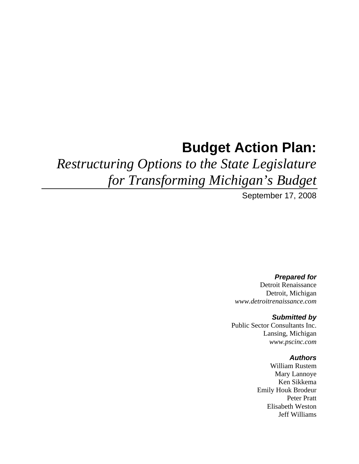# **Budget Action Plan:**

# *Restructuring Options to the State Legislature for Transforming Michigan's Budget*

September 17, 2008

*Prepared for*  Detroit Renaissance Detroit, Michigan *www.detroitrenaissance.com* 

#### *Submitted by*

Public Sector Consultants Inc. Lansing, Michigan *www.pscinc.com* 

#### *Authors*

William Rustem Mary Lannoye Ken Sikkema Emily Houk Brodeur Peter Pratt Elisabeth Weston Jeff Williams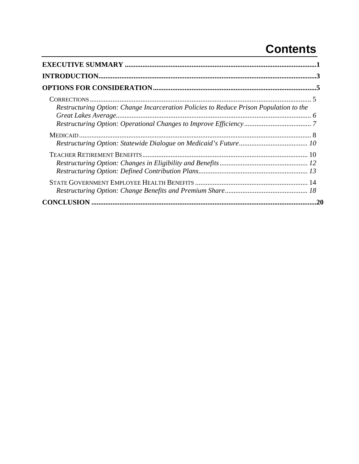## **Contents**

| Restructuring Option: Change Incarceration Policies to Reduce Prison Population to the |  |
|----------------------------------------------------------------------------------------|--|
|                                                                                        |  |
|                                                                                        |  |
|                                                                                        |  |
| 20                                                                                     |  |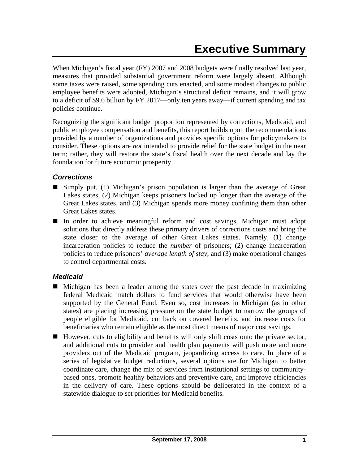When Michigan's fiscal year (FY) 2007 and 2008 budgets were finally resolved last year, measures that provided substantial government reform were largely absent. Although some taxes were raised, some spending cuts enacted, and some modest changes to public employee benefits were adopted, Michigan's structural deficit remains, and it will grow to a deficit of \$9.6 billion by FY 2017—only ten years away—if current spending and tax policies continue.

Recognizing the significant budget proportion represented by corrections, Medicaid, and public employee compensation and benefits, this report builds upon the recommendations provided by a number of organizations and provides specific options for policymakers to consider. These options are *not* intended to provide relief for the state budget in the near term; rather, they will restore the state's fiscal health over the next decade and lay the foundation for future economic prosperity.

#### *Corrections*

- Simply put, (1) Michigan's prison population is larger than the average of Great Lakes states, (2) Michigan keeps prisoners locked up longer than the average of the Great Lakes states, and (3) Michigan spends more money confining them than other Great Lakes states.
- In order to achieve meaningful reform and cost savings, Michigan must adopt solutions that directly address these primary drivers of corrections costs and bring the state closer to the average of other Great Lakes states. Namely, (1) change incarceration policies to reduce the *number* of prisoners; (2) change incarceration policies to reduce prisoners' *average length of stay*; and (3) make operational changes to control departmental costs.

#### *Medicaid*

- Michigan has been a leader among the states over the past decade in maximizing federal Medicaid match dollars to fund services that would otherwise have been supported by the General Fund. Even so, cost increases in Michigan (as in other states) are placing increasing pressure on the state budget to narrow the groups of people eligible for Medicaid, cut back on covered benefits, and increase costs for beneficiaries who remain eligible as the most direct means of major cost savings.
- $\blacksquare$  However, cuts to eligibility and benefits will only shift costs onto the private sector, and additional cuts to provider and health plan payments will push more and more providers out of the Medicaid program, jeopardizing access to care. In place of a series of legislative budget reductions, several options are for Michigan to better coordinate care, change the mix of services from institutional settings to communitybased ones, promote healthy behaviors and preventive care, and improve efficiencies in the delivery of care. These options should be deliberated in the context of a statewide dialogue to set priorities for Medicaid benefits.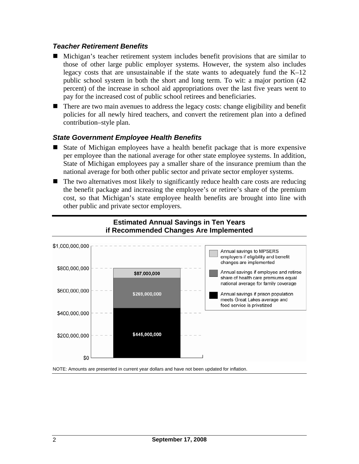#### *Teacher Retirement Benefits*

- Michigan's teacher retirement system includes benefit provisions that are similar to those of other large public employer systems. However, the system also includes legacy costs that are unsustainable if the state wants to adequately fund the  $K-12$ public school system in both the short and long term. To wit: a major portion (42 percent) of the increase in school aid appropriations over the last five years went to pay for the increased cost of public school retirees and beneficiaries.
- There are two main avenues to address the legacy costs: change eligibility and benefit policies for all newly hired teachers, and convert the retirement plan into a defined contribution–style plan.

#### *State Government Employee Health Benefits*

- State of Michigan employees have a health benefit package that is more expensive per employee than the national average for other state employee systems. In addition, State of Michigan employees pay a smaller share of the insurance premium than the national average for both other public sector and private sector employer systems.
- $\blacksquare$  The two alternatives most likely to significantly reduce health care costs are reducing the benefit package and increasing the employee's or retiree's share of the premium cost, so that Michigan's state employee health benefits are brought into line with other public and private sector employers.



#### **Estimated Annual Savings in Ten Years if Recommended Changes Are Implemented**

NOTE: Amounts are presented in current year dollars and have not been updated for inflation.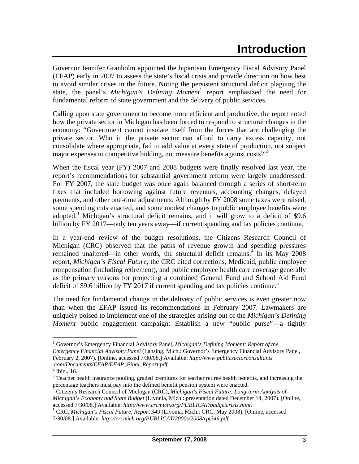Governor Jennifer Granholm appointed the bipartisan Emergency Fiscal Advisory Panel (EFAP) early in 2007 to assess the state's fiscal crisis and provide direction on how best to avoid similar crises in the future. Noting the persistent structural deficit plaguing the state, the panel's *Michigan's Defining Moment*<sup>1</sup> report emphasized the need for fundamental reform of state government and the delivery of public services.

Calling upon state government to become more efficient and productive, the report noted how the private sector in Michigan has been forced to respond to structural changes in the economy: "Government cannot insulate itself from the forces that are challenging the private sector. Who in the private sector can afford to carry excess capacity, not consolidate where appropriate, fail to add value at every state of production, not subject major expenses to competitive bidding, not measure benefits against costs? $"$ 

When the fiscal year (FY) 2007 and 2008 budgets were finally resolved last year, the report's recommendations for substantial government reform were largely unaddressed. For FY 2007, the state budget was once again balanced through a series of short-term fixes that included borrowing against future revenues, accounting changes, delayed payments, and other one-time adjustments. Although by FY 2008 some taxes were raised, some spending cuts enacted, and some modest changes to public employee benefits were adopted,<sup>3</sup> Michigan's structural deficit remains, and it will grow to a deficit of \$9.6 billion by FY 2017—only ten years away—if current spending and tax policies continue.

In a year-end review of the budget resolutions, the Citizens Research Council of Michigan (CRC) observed that the paths of revenue growth and spending pressures remained unaltered—in other words, the structural deficit remains.<sup>4</sup> In its May 2008 report, *Michigan's Fiscal Future*, the CRC cited corrections, Medicaid, public employee compensation (including retirement), and public employee health care coverage generally as the primary reasons for projecting a combined General Fund and School Aid Fund deficit of \$9.6 billion by FY 2017 if current spending and tax policies continue.<sup>5</sup>

The need for fundamental change in the delivery of public services is even greater now than when the EFAP issued its recommendations in February 2007. Lawmakers are uniquely poised to implement one of the strategies arising out of the *Michigan's Defining Moment* public engagement campaign: Establish a new "public purse"—a tightly

<sup>&</sup>lt;sup>1</sup> Governor's Emergency Financial Advisory Panel, *Michigan's Defining Moment: Report of the Emergency Financial Advisory Panel* (Lansing, Mich.: Governor's Emergency Financial Advisory Panel, February 2, 2007). [Online, accessed 7/30/08.] Available: *http://www.publicsectorconsultants .com/Documents/EFAP/EFAP\_Final\_Report.pdf*. 2

 $<sup>2</sup>$  Ibid., 16.</sup>

 $3$  Teacher health insurance pooling, graded premiums for teacher retiree health benefits, and increasing the percentage teachers must pay into the defined benefit pension system were enacted. 4

Citizen's Research Council of Michigan (CRC), *Michigan's Fiscal Future: Long-term Analysis of Michigan's Economy and State Budget* (Livonia, Mich.: presentation dated December 14, 2007). [Online, accessed 7/30/08.] Available: *http://www.crcmich.org/PUBLICAT/budgetcrisis.html*. 5

CRC, *Michigan's Fiscal Future, Report 349* (Livonia, Mich.: CRC, May 2008). [Online, accessed 7/30/08.] Available: *http://crcmich.org/PUBLICAT/2000s/2008/rpt349.pdf*.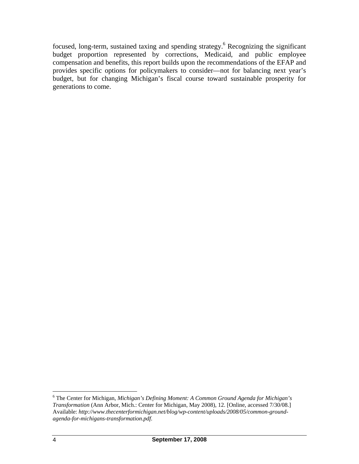focused, long-term, sustained taxing and spending strategy.<sup>6</sup> Recognizing the significant budget proportion represented by corrections, Medicaid, and public employee compensation and benefits, this report builds upon the recommendations of the EFAP and provides specific options for policymakers to consider—not for balancing next year's budget, but for changing Michigan's fiscal course toward sustainable prosperity for generations to come.

 6 The Center for Michigan, *Michigan's Defining Moment: A Common Ground Agenda for Michigan's Transformation* (Ann Arbor, Mich.: Center for Michigan, May 2008), 12. [Online, accessed 7/30/08.] Available: *http://www.thecenterformichigan.net/blog/wp-content/uploads/2008/05/common-groundagenda-for-michigans-transformation.pdf*.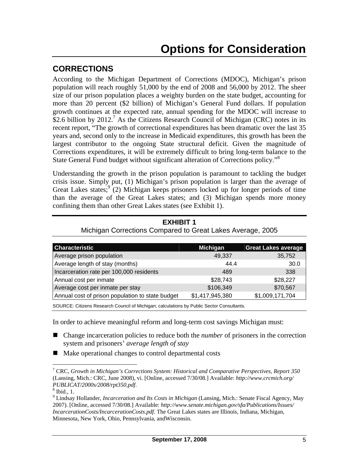## **CORRECTIONS**

According to the Michigan Department of Corrections (MDOC), Michigan's prison population will reach roughly 51,000 by the end of 2008 and 56,000 by 2012. The sheer size of our prison population places a weighty burden on the state budget, accounting for more than 20 percent (\$2 billion) of Michigan's General Fund dollars. If population growth continues at the expected rate, annual spending for the MDOC will increase to \$2.6 billion by 2012.<sup>7</sup> As the Citizens Research Council of Michigan (CRC) notes in its recent report, "The growth of correctional expenditures has been dramatic over the last 35 years and, second only to the increase in Medicaid expenditures, this growth has been the largest contributor to the ongoing State structural deficit. Given the magnitude of Corrections expenditures, it will be extremely difficult to bring long-term balance to the State General Fund budget without significant alteration of Corrections policy."8

Understanding the growth in the prison population is paramount to tackling the budget crisis issue. Simply put, (1) Michigan's prison population is larger than the average of Great Lakes states;<sup>9</sup> (2) Michigan keeps prisoners locked up for longer periods of time than the average of the Great Lakes states; and (3) Michigan spends more money confining them than other Great Lakes states (see Exhibit 1).

| <b>Characteristic</b>                            | <b>Michigan</b> | <b>Great Lakes average</b> |
|--------------------------------------------------|-----------------|----------------------------|
| Average prison population                        | 49,337          | 35,752                     |
| Average length of stay (months)                  | 44.4            | 30.0                       |
| Incarceration rate per 100,000 residents         | 489             | 338                        |
| Annual cost per inmate                           | \$28,743        | \$28,227                   |
| Average cost per inmate per stay                 | \$106,349       | \$70,567                   |
| Annual cost of prison population to state budget | \$1,417,945,380 | \$1,009,171,704            |
|                                                  |                 |                            |

**EXHIBIT 1**  Michigan Corrections Compared to Great Lakes Average, 2005

SOURCE: Citizens Research Council of Michigan; calculations by Public Sector Consultants.

In order to achieve meaningful reform and long-term cost savings Michigan must:

- Change incarceration policies to reduce both the *number* of prisoners in the correction system and prisoners' *average length of stay*
- $\blacksquare$  Make operational changes to control departmental costs

<sup>7</sup> CRC, *Growth in Michigan's Corrections System: Historical and Comparative Perspectives, Report 350*  (Lansing, Mich.: CRC, June 2008), vi. [Online, accessed 7/30/08.] Available: *http://www.crcmich.org/ PUBLICAT/2000s/2008/rpt350.pdf*. 8

 $8$  Ibid., 1.

<sup>9</sup> Lindsay Hollander, *Incarceration and Its Costs in Michigan* (Lansing, Mich.: Senate Fiscal Agency, May 2007). [Online, accessed 7/30/08.] Available: *http://www.senate.michigan.gov/sfa/Publications/Issues/ IncarcerationCosts/IncarcerationCosts.pdf*. The Great Lakes states are Illinois, Indiana, Michigan, Minnesota, New York, Ohio, Pennsylvania, andWisconsin.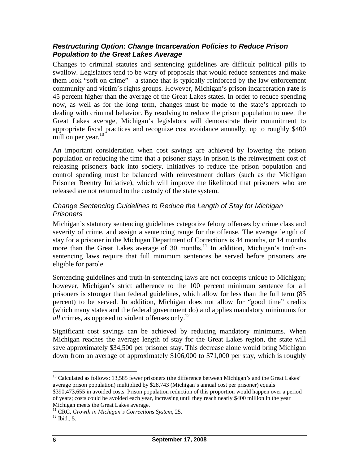#### *Restructuring Option: Change Incarceration Policies to Reduce Prison Population to the Great Lakes Average*

Changes to criminal statutes and sentencing guidelines are difficult political pills to swallow. Legislators tend to be wary of proposals that would reduce sentences and make them look "soft on crime"—a stance that is typically reinforced by the law enforcement community and victim's rights groups. However, Michigan's prison incarceration **rate** is 45 percent higher than the average of the Great Lakes states. In order to reduce spending now, as well as for the long term, changes must be made to the state's approach to dealing with criminal behavior. By resolving to reduce the prison population to meet the Great Lakes average, Michigan's legislators will demonstrate their commitment to appropriate fiscal practices and recognize cost avoidance annually, up to roughly \$400 million per year. $10<sup>10</sup>$ 

An important consideration when cost savings are achieved by lowering the prison population or reducing the time that a prisoner stays in prison is the reinvestment cost of releasing prisoners back into society. Initiatives to reduce the prison population and control spending must be balanced with reinvestment dollars (such as the Michigan Prisoner Reentry Initiative), which will improve the likelihood that prisoners who are released are not returned to the custody of the state system.

#### *Change Sentencing Guidelines to Reduce the Length of Stay for Michigan Prisoners*

Michigan's statutory sentencing guidelines categorize felony offenses by crime class and severity of crime, and assign a sentencing range for the offense. The average length of stay for a prisoner in the Michigan Department of Corrections is 44 months, or 14 months more than the Great Lakes average of 30 months.<sup>11</sup> In addition, Michigan's truth-insentencing laws require that full minimum sentences be served before prisoners are eligible for parole.

Sentencing guidelines and truth-in-sentencing laws are not concepts unique to Michigan; however, Michigan's strict adherence to the 100 percent minimum sentence for all prisoners is stronger than federal guidelines, which allow for less than the full term (85 percent) to be served. In addition, Michigan does not allow for "good time" credits (which many states and the federal government do) and applies mandatory minimums for *all* crimes, as opposed to violent offenses only.<sup>12</sup>

Significant cost savings can be achieved by reducing mandatory minimums. When Michigan reaches the average length of stay for the Great Lakes region, the state will save approximately \$34,500 per prisoner stay. This decrease alone would bring Michigan down from an average of approximately \$106,000 to \$71,000 per stay, which is roughly

 $\overline{a}$  $10$  Calculated as follows: 13,585 fewer prisoners (the difference between Michigan's and the Great Lakes' average prison population) multiplied by \$28,743 (Michigan's annual cost per prisoner) equals \$390,473,655 in avoided costs. Prison population reduction of this proportion would happen over a period

of years; costs could be avoided each year, increasing until they reach nearly \$400 million in the year Michigan meets the Great Lakes average.<br><sup>11</sup> CRC, *Growth in Michigan's Corrections System*, 25.<br><sup>12</sup> Ibid., 5.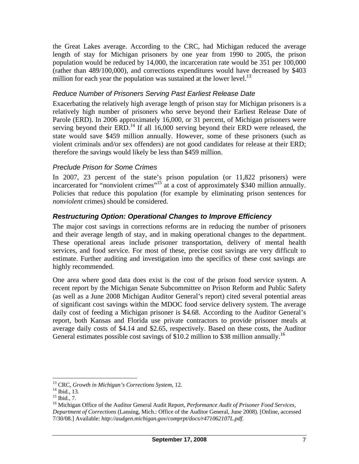the Great Lakes average. According to the CRC, had Michigan reduced the average length of stay for Michigan prisoners by one year from 1990 to 2005, the prison population would be reduced by 14,000, the incarceration rate would be 351 per 100,000 (rather than 489/100,000), and corrections expenditures would have decreased by \$403 million for each year the population was sustained at the lower level.<sup>13</sup>

#### *Reduce Number of Prisoners Serving Past Earliest Release Date*

Exacerbating the relatively high average length of prison stay for Michigan prisoners is a relatively high number of prisoners who serve beyond their Earliest Release Date of Parole (ERD). In 2006 approximately 16,000, or 31 percent, of Michigan prisoners were serving beyond their  $ERD<sup>14</sup>$  If all 16,000 serving beyond their  $ERD$  were released, the state would save \$459 million annually. However, some of these prisoners (such as violent criminals and/or sex offenders) are not good candidates for release at their ERD; therefore the savings would likely be less than \$459 million.

#### *Preclude Prison for Some Crimes*

In 2007, 23 percent of the state's prison population (or 11,822 prisoners) were incarcerated for "nonviolent crimes"<sup>15</sup> at a cost of approximately \$340 million annually. Policies that reduce this population (for example by eliminating prison sentences for *nonviolent* crimes) should be considered.

#### *Restructuring Option: Operational Changes to Improve Efficiency*

The major cost savings in corrections reforms are in reducing the number of prisoners and their average length of stay, and in making operational changes to the department. These operational areas include prisoner transportation, delivery of mental health services, and food service. For most of these, precise cost savings are very difficult to estimate. Further auditing and investigation into the specifics of these cost savings are highly recommended.

One area where good data does exist is the cost of the prison food service system. A recent report by the Michigan Senate Subcommittee on Prison Reform and Public Safety (as well as a June 2008 Michigan Auditor General's report) cited several potential areas of significant cost savings within the MDOC food service delivery system. The average daily cost of feeding a Michigan prisoner is \$4.68. According to the Auditor General's report, both Kansas and Florida use private contractors to provide prisoner meals at average daily costs of \$4.14 and \$2.65, respectively. Based on these costs, the Auditor General estimates possible cost savings of \$10.2 million to \$38 million annually.<sup>16</sup>

<sup>&</sup>lt;sup>13</sup> CRC, *Growth in Michigan's Corrections System*, 12.<br><sup>14</sup> Ibid., 13.

<sup>15</sup> Ibid., 7.

<sup>16</sup> Michigan Office of the Auditor General Audit Report, *Performance Audit of Prisoner Food Services, Department of Corrections* (Lansing, Mich.: Office of the Auditor General, June 2008). [Online, accessed 7/30/08.] Available: *http://audgen.michigan.gov/comprpt/docs/r471062107L.pdf*.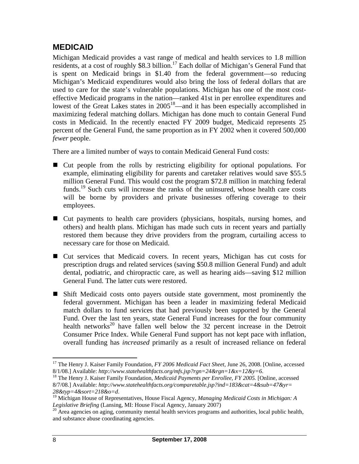### **MEDICAID**

Michigan Medicaid provides a vast range of medical and health services to 1.8 million residents, at a cost of roughly \$8.3 billion.<sup>17</sup> Each dollar of Michigan's General Fund that is spent on Medicaid brings in \$1.40 from the federal government—so reducing Michigan's Medicaid expenditures would also bring the loss of federal dollars that are used to care for the state's vulnerable populations. Michigan has one of the most costeffective Medicaid programs in the nation—ranked 41st in per enrollee expenditures and lowest of the Great Lakes states in  $2005^{18}$ —and it has been especially accomplished in maximizing federal matching dollars. Michigan has done much to contain General Fund costs in Medicaid. In the recently enacted FY 2009 budget, Medicaid represents 25 percent of the General Fund, the same proportion as in FY 2002 when it covered 500,000 *fewer* people.

There are a limited number of ways to contain Medicaid General Fund costs:

- Cut people from the rolls by restricting eligibility for optional populations. For example, eliminating eligibility for parents and caretaker relatives would save \$55.5 million General Fund. This would cost the program \$72.8 million in matching federal funds.<sup>19</sup> Such cuts will increase the ranks of the uninsured, whose health care costs will be borne by providers and private businesses offering coverage to their employees.
- Cut payments to health care providers (physicians, hospitals, nursing homes, and others) and health plans. Michigan has made such cuts in recent years and partially restored them because they drive providers from the program, curtailing access to necessary care for those on Medicaid.
- Cut services that Medicaid covers. In recent years, Michigan has cut costs for prescription drugs and related services (saving \$50.8 million General Fund) and adult dental, podiatric, and chiropractic care, as well as hearing aids—saving \$12 million General Fund. The latter cuts were restored.
- Shift Medicaid costs onto payers outside state government, most prominently the federal government. Michigan has been a leader in maximizing federal Medicaid match dollars to fund services that had previously been supported by the General Fund. Over the last ten years, state General Fund increases for the four community health networks<sup>20</sup> have fallen well below the 32 percent increase in the Detroit Consumer Price Index. While General Fund support has not kept pace with inflation, overall funding has *increased* primarily as a result of increased reliance on federal

<sup>&</sup>lt;sup>17</sup> The Henry J. Kaiser Family Foundation, *FY 2006 Medicaid Fact Sheet*, June 26, 2008. [Online, accessed 8/1/08.] Available: *http://www.statehealthfacts.org/mfs.jsp?rgn=24&rgn=1&x=12&y=6*. 18 The Henry J. Kaiser Family Foundation, *Medicaid Payments per Enrollee, FY 2005.* [Online, accessed

<sup>8/7/08.]</sup> Available: *http://www.statehealthfacts.org/comparetable.jsp?ind=183&cat=4&sub=47&yr= 28&typ=4&sort=218&o=d.* 19 Michigan House of Representatives, House Fiscal Agency, *Managing Medicaid Costs in Michigan: A* <sup>19</sup> Michigan House of Representatives, House Fiscal Agency, *Managing Medicaid Costs in Michigan* 

*Legislative Briefing* (Lansing, MI: House Fiscal Agency, January 2007)<br><sup>20</sup> Area agencies on aging, community mental health services programs and authorities, local public health,

and substance abuse coordinating agencies.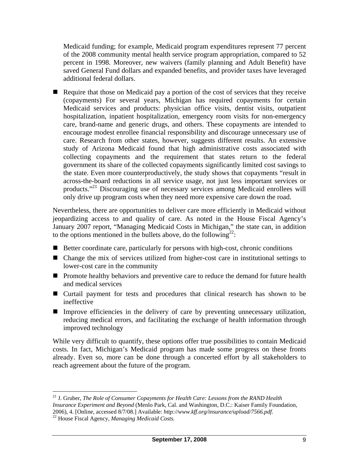Medicaid funding; for example, Medicaid program expenditures represent 77 percent of the 2008 community mental health service program appropriation, compared to 52 percent in 1998. Moreover, new waivers (family planning and Adult Benefit) have saved General Fund dollars and expanded benefits, and provider taxes have leveraged additional federal dollars.

Require that those on Medicaid pay a portion of the cost of services that they receive (copayments) For several years, Michigan has required copayments for certain Medicaid services and products: physician office visits, dentist visits, outpatient hospitalization, inpatient hospitalization, emergency room visits for non-emergency care, brand-name and generic drugs, and others. These copayments are intended to encourage modest enrollee financial responsibility and discourage unnecessary use of care. Research from other states, however, suggests different results. An extensive study of Arizona Medicaid found that high administrative costs associated with collecting copayments and the requirement that states return to the federal government its share of the collected copayments significantly limited cost savings to the state. Even more counterproductively, the study shows that copayments "result in across-the-board reductions in all service usage, not just less important services or products."21 Discouraging use of necessary services among Medicaid enrollees will only drive up program costs when they need more expensive care down the road.

Nevertheless, there are opportunities to deliver care more efficiently in Medicaid without jeopardizing access to and quality of care. As noted in the House Fiscal Agency's January 2007 report, "Managing Medicaid Costs in Michigan," the state can, in addition to the options mentioned in the bullets above, do the following<sup>22</sup>:

- $\blacksquare$  Better coordinate care, particularly for persons with high-cost, chronic conditions
- Change the mix of services utilized from higher-cost care in institutional settings to lower-cost care in the community
- **Promote healthy behaviors and preventive care to reduce the demand for future health** and medical services
- Curtail payment for tests and procedures that clinical research has shown to be ineffective
- Improve efficiencies in the delivery of care by preventing unnecessary utilization, reducing medical errors, and facilitating the exchange of health information through improved technology

While very difficult to quantify, these options offer true possibilities to contain Medicaid costs. In fact, Michigan's Medicaid program has made some progress on these fronts already. Even so, more can be done through a concerted effort by all stakeholders to reach agreement about the future of the program.

 $\overline{a}$ 21 J. Gruber, *The Role of Consumer Copayments for Health Care: Lessons from the RAND Health Insurance Experiment and Beyond* (Menlo Park, Cal. and Washington, D.C.: Kaiser Family Foundation, 2006), 4. [Online, accessed 8/7/08.] Available: *http://www.kff.org/insurance/upload/7566.pdf*. 22 House Fiscal Agency, *Managing Medicaid Costs.*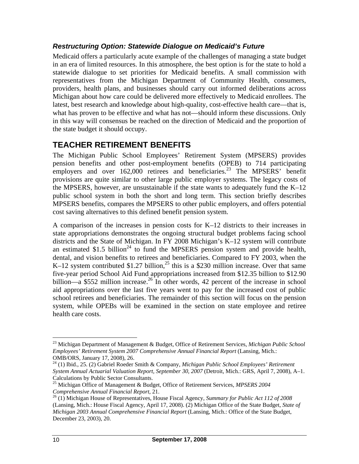#### *Restructuring Option: Statewide Dialogue on Medicaid's Future*

Medicaid offers a particularly acute example of the challenges of managing a state budget in an era of limited resources. In this atmosphere, the best option is for the state to hold a statewide dialogue to set priorities for Medicaid benefits. A small commission with representatives from the Michigan Department of Community Health, consumers, providers, health plans, and businesses should carry out informed deliberations across Michigan about how care could be delivered more effectively to Medicaid enrollees. The latest, best research and knowledge about high-quality, cost-effective health care—that is, what has proven to be effective and what has not—should inform these discussions. Only in this way will consensus be reached on the direction of Medicaid and the proportion of the state budget it should occupy.

### **TEACHER RETIREMENT BENEFITS**

The Michigan Public School Employees' Retirement System (MPSERS) provides pension benefits and other post-employment benefits (OPEB) to 714 participating employers and over  $162,000$  retirees and beneficiaries.<sup>23</sup> The MPSERS' benefit provisions are quite similar to other large public employer systems. The legacy costs of the MPSERS, however, are unsustainable if the state wants to adequately fund the  $K-12$ public school system in both the short and long term. This section briefly describes MPSERS benefits, compares the MPSERS to other public employers, and offers potential cost saving alternatives to this defined benefit pension system.

A comparison of the increases in pension costs for K–12 districts to their increases in state appropriations demonstrates the ongoing structural budget problems facing school districts and the State of Michigan. In FY 2008 Michigan's K–12 system will contribute an estimated \$1.5 billion<sup>24</sup> to fund the MPSERS pension system and provide health, dental, and vision benefits to retirees and beneficiaries. Compared to FY 2003, when the K–12 system contributed \$1.27 billion,<sup>25</sup> this is a \$230 million increase. Over that same five-year period School Aid Fund appropriations increased from \$12.35 billion to \$12.90 billion—a \$552 million increase.<sup>26</sup> In other words, 42 percent of the increase in school aid appropriations over the last five years went to pay for the increased cost of public school retirees and beneficiaries. The remainder of this section will focus on the pension system, while OPEBs will be examined in the section on state employee and retiree health care costs.

<sup>23</sup> Michigan Department of Management & Budget, Office of Retirement Services, *Michigan Public School Employees' Retirement System 2007 Comprehensive Annual Financial Report* (Lansing, Mich.: OMB/ORS, January 17, 2008), 26.

<sup>24 (1)</sup> Ibid., 25. (2) Gabriel Roeder Smith & Company, *Michigan Public School Employees' Retirement System Annual Actuarial Valuation Report, September 30, 2007* (Detroit, Mich.: GRS, April 7, 2008), A–1. Calculations by Public Sector Consultants.

<sup>25</sup> Michigan Office of Management & Budget, Office of Retirement Services, *MPSERS 2004 Comprehensive Annual Financial Report*, 21.<br><sup>26</sup> (1) Michigan House of Representatives, House Fiscal Agency, *Summary for Public Act 112 of 2008* 

<sup>(</sup>Lansing, Mich.: House Fiscal Agency, April 17, 2008). (2) Michigan Office of the State Budget, *State of Michigan 2003 Annual Comprehensive Financial Report* (Lansing, Mich.: Office of the State Budget, December 23, 2003), 20.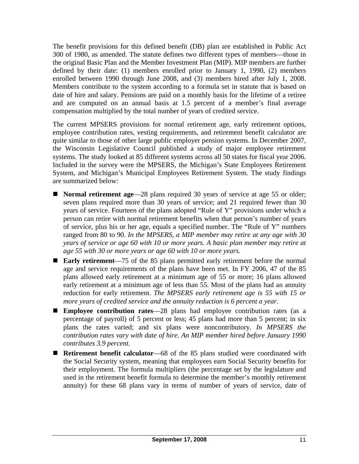The benefit provisions for this defined benefit (DB) plan are established in Public Act 300 of 1980, as amended. The statute defines two different types of members—those in the original Basic Plan and the Member Investment Plan (MIP). MIP members are further defined by their date: (1) members enrolled prior to January 1, 1990, (2) members enrolled between 1990 through June 2008, and (3) members hired after July 1, 2008. Members contribute to the system according to a formula set in statute that is based on date of hire and salary. Pensions are paid on a monthly basis for the lifetime of a retiree and are computed on an annual basis at 1.5 percent of a member's final average compensation multiplied by the total number of years of credited service.

The current MPSERS provisions for normal retirement age, early retirement options, employee contribution rates, vesting requirements, and retirement benefit calculator are quite similar to those of other large public employer pension systems. In December 2007, the Wisconsin Legislative Council published a study of major employee retirement systems. The study looked at 85 different systems across all 50 states for fiscal year 2006. Included in the survey were the MPSERS, the Michigan's State Employees Retirement System, and Michigan's Municipal Employees Retirement System. The study findings are summarized below:

- **Normal retirement age—28** plans required 30 years of service at age 55 or older; seven plans required more than 30 years of service; and 21 required fewer than 30 years of service. Fourteen of the plans adopted "Rule of Y" provisions under which a person can retire with normal retirement benefits when that person's number of years of service, plus his or her age, equals a specified number. The "Rule of Y" numbers ranged from 80 to 90. *In the MPSERS, a MIP member may retire at any age with 30 years of service or age 60 with 10 or more years. A basic plan member may retire at age 55 with 30 or more years or age 60 with 10 or more years.*
- **Early retirement**—75 of the 85 plans permitted early retirement before the normal age and service requirements of the plans have been met. In FY 2006, 47 of the 85 plans allowed early retirement at a minimum age of 55 or more; 16 plans allowed early retirement at a minimum age of less than 55. Most of the plans had an annuity reduction for early retirement. *The MPSERS early retirement age is 55 with 15 or more years of credited service and the annuity reduction is 6 percent a year*.
- **Employee contribution rates**—28 plans had employee contribution rates (as a percentage of payroll) of 5 percent or less; 45 plans had more than 5 percent; in six plans the rates varied; and six plans were noncontributory. *In MPSERS the contribution rates vary with date of hire. An MIP member hired before January 1990 contributes 3.9 percent.*
- Retirement benefit calculator—68 of the 85 plans studied were coordinated with the Social Security system, meaning that employees earn Social Security benefits for their employment. The formula multipliers (the percentage set by the legislature and used in the retirement benefit formula to determine the member's monthly retirement annuity) for these 68 plans vary in terms of number of years of service, date of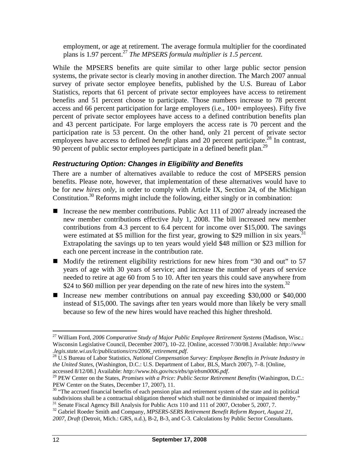employment, or age at retirement. The average formula multiplier for the coordinated plans is 1.97 percent.27 *The MPSERS formula multiplier is 1.5 percent.*

While the MPSERS benefits are quite similar to other large public sector pension systems, the private sector is clearly moving in another direction. The March 2007 annual survey of private sector employee benefits, published by the U.S. Bureau of Labor Statistics, reports that 61 percent of private sector employees have access to retirement benefits and 51 percent choose to participate. Those numbers increase to 78 percent access and 66 percent participation for large employers (i.e., 100+ employees). Fifty five percent of private sector employees have access to a defined contribution benefits plan and 43 percent participate. For large employers the access rate is 70 percent and the participation rate is 53 percent. On the other hand, only 21 percent of private sector employees have access to defined *benefit* plans and 20 percent participate.<sup>28</sup> In contrast, 90 percent of public sector employees participate in a defined benefit plan.<sup>29</sup>

#### *Restructuring Option: Changes in Eligibility and Benefits*

There are a number of alternatives available to reduce the cost of MPSERS pension benefits. Please note, however, that implementation of these alternatives would have to be for *new hires only*, in order to comply with Article IX, Section 24, of the Michigan Constitution.<sup>30</sup> Reforms might include the following, either singly or in combination:

- Increase the new member contributions. Public Act 111 of 2007 already increased the new member contributions effective July 1, 2008. The bill increased new member contributions from 4.3 percent to 6.4 percent for income over \$15,000. The savings were estimated at \$5 million for the first year, growing to \$29 million in six years.<sup>31</sup> Extrapolating the savings up to ten years would yield \$48 million or \$23 million for each one percent increase in the contribution rate.
- $\blacksquare$  Modify the retirement eligibility restrictions for new hires from "30 and out" to 57 years of age with 30 years of service; and increase the number of years of service needed to retire at age 60 from 5 to 10. After ten years this could save anywhere from \$24 to \$60 million per year depending on the rate of new hires into the system.<sup>32</sup>
- Increase new member contributions on annual pay exceeding \$30,000 or \$40,000 instead of \$15,000. The savings after ten years would more than likely be very small because so few of the new hires would have reached this higher threshold.

<sup>27</sup> William Ford, *2006 Comparative Study of Major Public Employee Retirement Systems* (Madison, Wisc.: Wisconsin Legislative Council, December 2007), 10–22. [Online, accessed 7/30/08.] Available: *http://www .legis.state.wi.us/lc/publications/crs/2006\_retirement.pdf*. 28 U.S Bureau of Labor Statistics, *National Compensation Survey: Employee Benefits in Private Industry in* 

*the United States*, (Washington, D.C.: U.S. Department of Labor, BLS, March 2007), 7–8. [Online, accessed 8/12/08.] Available: *http://www.bls.gov/ncs/ebs/sp/ebsm0006.pdf.*<br><sup>29</sup> PEW Center on the States, *Promises with a Price: Public Sector Retirement Benefits* (Washington, D.C.:

PEW Center on the States, December 17, 2007), 11.<br><sup>30</sup> "The accrued financial benefits of each pension plan and retirement system of the state and its political<br>subdivisions shall be a contractual obligation thereof which  $31$  Senate Fiscal Agency Bill Analysis for Public Acts 110 and 111 of 2007, October 5, 2007, 7.

<sup>&</sup>lt;sup>32</sup> Gabriel Roeder Smith and Company, *MPSERS-SERS Retirement Benefit Reform Report, August 21, 2007, Draft* (Detroit, Mich.: GRS, n.d.), B-2, B-3, and C-3. Calculations by Public Sector Consultants.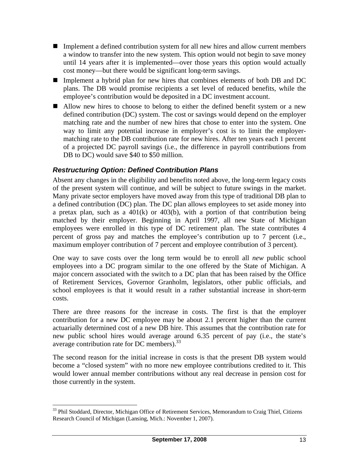- Implement a defined contribution system for all new hires and allow current members a window to transfer into the new system. This option would not begin to save money until 14 years after it is implemented—over those years this option would actually cost money—but there would be significant long-term savings.
- Implement a hybrid plan for new hires that combines elements of both DB and DC plans. The DB would promise recipients a set level of reduced benefits, while the employee's contribution would be deposited in a DC investment account.
- Allow new hires to choose to belong to either the defined benefit system or a new defined contribution (DC) system. The cost or savings would depend on the employer matching rate and the number of new hires that chose to enter into the system. One way to limit any potential increase in employer's cost is to limit the employermatching rate to the DB contribution rate for new hires. After ten years each 1 percent of a projected DC payroll savings (i.e., the difference in payroll contributions from DB to DC) would save \$40 to \$50 million.

#### *Restructuring Option: Defined Contribution Plans*

Absent any changes in the eligibility and benefits noted above, the long-term legacy costs of the present system will continue, and will be subject to future swings in the market. Many private sector employers have moved away from this type of traditional DB plan to a defined contribution (DC) plan. The DC plan allows employees to set aside money into a pretax plan, such as a  $401(k)$  or  $403(b)$ , with a portion of that contribution being matched by their employer. Beginning in April 1997, all new State of Michigan employees were enrolled in this type of DC retirement plan. The state contributes 4 percent of gross pay and matches the employee's contribution up to 7 percent (i.e., maximum employer contribution of 7 percent and employee contribution of 3 percent).

One way to save costs over the long term would be to enroll all *new* public school employees into a DC program similar to the one offered by the State of Michigan. A major concern associated with the switch to a DC plan that has been raised by the Office of Retirement Services, Governor Granholm, legislators, other public officials, and school employees is that it would result in a rather substantial increase in short-term costs.

There are three reasons for the increase in costs. The first is that the employer contribution for a new DC employee may be about 2.1 percent higher than the current actuarially determined cost of a new DB hire. This assumes that the contribution rate for new public school hires would average around 6.35 percent of pay (i.e., the state's average contribution rate for DC members). $33$ 

The second reason for the initial increase in costs is that the present DB system would become a "closed system" with no more new employee contributions credited to it. This would lower annual member contributions without any real decrease in pension cost for those currently in the system.

1

<sup>&</sup>lt;sup>33</sup> Phil Stoddard, Director, Michigan Office of Retirement Services, Memorandum to Craig Thiel, Citizens Research Council of Michigan (Lansing, Mich.: November 1, 2007).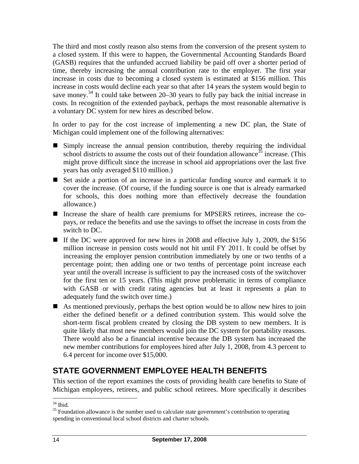The third and most costly reason also stems from the conversion of the present system to a closed system. If this were to happen, the Governmental Accounting Standards Board (GASB) requires that the unfunded accrued liability be paid off over a shorter period of time, thereby increasing the annual contribution rate to the employer. The first year increase in costs due to becoming a closed system is estimated at \$156 million. This increase in costs would decline each year so that after 14 years the system would begin to save money.<sup>34</sup> It could take between  $20-30$  years to fully pay back the initial increase in costs. In recognition of the extended payback, perhaps the most reasonable alternative is a voluntary DC system for new hires as described below.

In order to pay for the cost increase of implementing a new DC plan, the State of Michigan could implement one of the following alternatives:

- Simply increase the annual pension contribution, thereby requiring the individual school districts to assume the costs out of their foundation allowance<sup>35</sup> increase. (This might prove difficult since the increase in school aid appropriations over the last five years has only averaged \$110 million.)
- Set aside a portion of an increase in a particular funding source and earmark it to cover the increase. (Of course, if the funding source is one that is already earmarked for schools, this does nothing more than effectively decrease the foundation allowance.)
- Increase the share of health care premiums for MPSERS retirees, increase the copays, or reduce the benefits and use the savings to offset the increase in costs from the switch to DC.
- If the DC were approved for new hires in 2008 and effective July 1, 2009, the \$156 million increase in pension costs would not hit until FY 2011. It could be offset by increasing the employer pension contribution immediately by one or two tenths of a percentage point; then adding one or two tenths of percentage point increase each year until the overall increase is sufficient to pay the increased costs of the switchover for the first ten or 15 years. (This might prove problematic in terms of compliance with GASB or with credit rating agencies but at least it represents a plan to adequately fund the switch over time.)
- As mentioned previously, perhaps the best option would be to allow new hires to join either the defined benefit *or* a defined contribution system. This would solve the short-term fiscal problem created by closing the DB system to new members. It is quite likely that most new members would join the DC system for portability reasons. There would also be a financial incentive because the DB system has increased the new member contributions for employees hired after July 1, 2008, from 4.3 percent to 6.4 percent for income over \$15,000.

## **STATE GOVERNMENT EMPLOYEE HEALTH BENEFITS**

This section of the report examines the costs of providing health care benefits to State of Michigan employees, retirees, and public school retirees. More specifically it describes

<sup>1</sup>  $34$  Ibid.

<sup>&</sup>lt;sup>35</sup> Foundation allowance is the number used to calculate state government's contribution to operating spending in conventional local school districts and charter schools.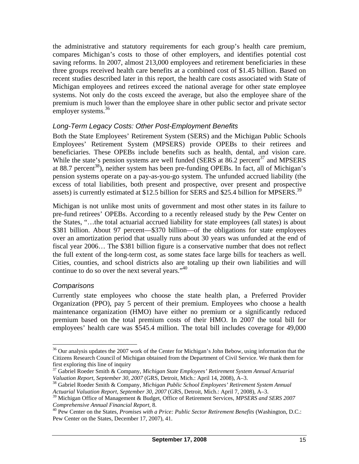the administrative and statutory requirements for each group's health care premium, compares Michigan's costs to those of other employers, and identifies potential cost saving reforms. In 2007, almost 213,000 employees and retirement beneficiaries in these three groups received health care benefits at a combined cost of \$1.45 billion. Based on recent studies described later in this report, the health care costs associated with State of Michigan employees and retirees exceed the national average for other state employee systems. Not only do the costs exceed the average, but also the employee share of the premium is much lower than the employee share in other public sector and private sector employer systems.<sup>36</sup>

#### *Long-Term Legacy Costs: Other Post-Employment Benefits*

Both the State Employees' Retirement System (SERS) and the Michigan Public Schools Employees' Retirement System (MPSERS) provide OPEBs to their retirees and beneficiaries. These OPEBs include benefits such as health, dental, and vision care. While the state's pension systems are well funded (SERS at  $86.2$  percent<sup>37</sup> and MPSERS at 88.7 percent<sup>38</sup>), neither system has been pre-funding OPEBs. In fact, all of Michigan's pension systems operate on a pay-as-you-go system. The unfunded accrued liability (the excess of total liabilities, both present and prospective, over present and prospective assets) is currently estimated at \$12.5 billion for SERS and \$25.4 billion for MPSERS.<sup>39</sup>

Michigan is not unlike most units of government and most other states in its failure to pre-fund retirees' OPEBs. According to a recently released study by the Pew Center on the States, "…the total actuarial accrued liability for state employees (all states) is about \$381 billion. About 97 percent—\$370 billion—of the obligations for state employees over an amortization period that usually runs about 30 years was unfunded at the end of fiscal year 2006… The \$381 billion figure is a conservative number that does not reflect the full extent of the long-term cost, as some states face large bills for teachers as well. Cities, counties, and school districts also are totaling up their own liabilities and will continue to do so over the next several years."<sup>40</sup>

#### *Comparisons*

 $\overline{a}$ 

Currently state employees who choose the state health plan, a Preferred Provider Organization (PPO), pay 5 percent of their premium. Employees who choose a health maintenance organization (HMO) have either no premium or a significantly reduced premium based on the total premium costs of their HMO. In 2007 the total bill for employees' health care was \$545.4 million. The total bill includes coverage for 49,000

<sup>&</sup>lt;sup>36</sup> Our analysis updates the 2007 work of the Center for Michigan's John Bebow, using information that the Citizens Research Council of Michigan obtained from the Department of Civil Service. We thank them for first exploring this line of inquiry

<sup>37</sup> Gabriel Roeder Smith & Company, *Michigan State Employees' Retirement System Annual Actuarial Valuation Report, September 30, 2007* (GRS, Detroit, Mich.: April 14, 2008), A–3.<br><sup>38</sup> Gabriel Roeder Smith & Company, *Michigan Public School Employees' Retirement System Annual* 

*Actuarial Valuation Report, September 30, 2007* (GRS, Detroit, Mich.: April 7, 2008), A–3.

<sup>39</sup> Michigan Office of Management & Budget, Office of Retirement Services, *MPSERS and SERS 2007* 

*Comprehensive Annual Financial Report*, 8.<br><sup>40</sup> Pew Center on the States, *Promises with a Price: Public Sector Retirement Benefits* (Washington, D.C.: Pew Center on the States, December 17, 2007), 41.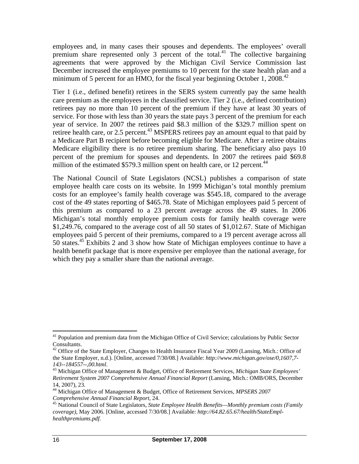employees and, in many cases their spouses and dependents. The employees' overall premium share represented only 3 percent of the total.<sup>41</sup> The collective bargaining agreements that were approved by the Michigan Civil Service Commission last December increased the employee premiums to 10 percent for the state health plan and a minimum of 5 percent for an HMO, for the fiscal year beginning October 1, 2008.<sup>42</sup>

Tier 1 (i.e., defined benefit) retirees in the SERS system currently pay the same health care premium as the employees in the classified service. Tier 2 (i.e., defined contribution) retirees pay no more than 10 percent of the premium if they have at least 30 years of service. For those with less than 30 years the state pays 3 percent of the premium for each year of service. In 2007 the retirees paid \$8.3 million of the \$329.7 million spent on retiree health care, or 2.5 percent.<sup>43</sup> MSPERS retirees pay an amount equal to that paid by a Medicare Part B recipient before becoming eligible for Medicare. After a retiree obtains Medicare eligibility there is no retiree premium sharing. The beneficiary also pays 10 percent of the premium for spouses and dependents. In 2007 the retirees paid \$69.8 million of the estimated  $$579.3$  million spent on health care, or 12 percent.<sup>44</sup>

The National Council of State Legislators (NCSL) publishes a comparison of state employee health care costs on its website. In 1999 Michigan's total monthly premium costs for an employee's family health coverage was \$545.18, compared to the average cost of the 49 states reporting of \$465.78. State of Michigan employees paid 5 percent of this premium as compared to a 23 percent average across the 49 states. In 2006 Michigan's total monthly employee premium costs for family health coverage were \$1,249.76, compared to the average cost of all 50 states of \$1,012.67. State of Michigan employees paid 5 percent of their premiums, compared to a 19 percent average across all 50 states.<sup>45</sup> Exhibits 2 and 3 show how State of Michigan employees continue to have a health benefit package that is more expensive per employee than the national average, for which they pay a smaller share than the national average.

<sup>1</sup> <sup>41</sup> Population and premium data from the Michigan Office of Civil Service; calculations by Public Sector Consultants.

<sup>&</sup>lt;sup>42</sup> Office of the State Employer, Changes to Health Insurance Fiscal Year 2009 (Lansing, Mich.: Office of the State Employer, n.d.). [Online, accessed 7/30/08.] Available: *http://www.michigan.gov/ose/0,1607,7-*

<sup>&</sup>lt;sup>43</sup> Michigan Office of Management & Budget, Office of Retirement Services, *Michigan State Employees' Retirement System 2007 Comprehensive Annual Financial Report* (Lansing, Mich.: OMB/ORS, December 14, 2007), 23.

<sup>44</sup> Michigan Office of Management & Budget, Office of Retirement Services, *MPSERS 2007 Comprehensive Annual Financial Report*, 24.<br><sup>45</sup> National Council of State Legislators, *State Employee Health Benefits—Monthly premium costs (Family <sup>45</sup>* 

*coverage)*, May 2006. [Online, accessed 7/30/08.] Available: *http://64.82.65.67/health/StateEmplhealthpremiums.pdf*.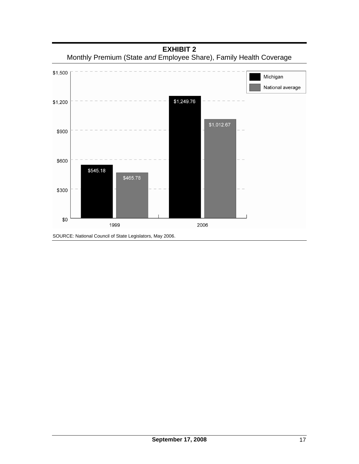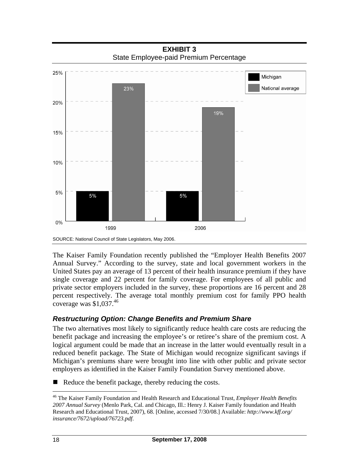**EXHIBIT 3**  State Employee-paid Premium Percentage



The Kaiser Family Foundation recently published the "Employer Health Benefits 2007 Annual Survey." According to the survey, state and local government workers in the United States pay an average of 13 percent of their health insurance premium if they have single coverage and 22 percent for family coverage. For employees of all public and private sector employers included in the survey, these proportions are 16 percent and 28 percent respectively. The average total monthly premium cost for family PPO health coverage was  $$1,037$ .<sup>46</sup>

#### *Restructuring Option: Change Benefits and Premium Share*

The two alternatives most likely to significantly reduce health care costs are reducing the benefit package and increasing the employee's or retiree's share of the premium cost. A logical argument could be made that an increase in the latter would eventually result in a reduced benefit package. The State of Michigan would recognize significant savings if Michigan's premiums share were brought into line with other public and private sector employers as identified in the Kaiser Family Foundation Survey mentioned above.

Reduce the benefit package, thereby reducing the costs.

 $\overline{a}$ 46 The Kaiser Family Foundation and Health Research and Educational Trust, *Employer Health Benefits 2007 Annual Survey* (Menlo Park, Cal. and Chicago, Ill.: Henry J. Kaiser Family foundation and Health Research and Educational Trust, 2007), 68. [Online, accessed 7/30/08.] Available: *http://www.kff.org/ insurance/7672/upload/76723.pdf*.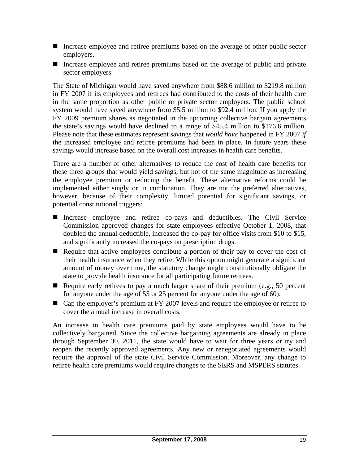- Increase employee and retiree premiums based on the average of other public sector employers.
- Increase employee and retiree premiums based on the average of public and private sector employers.

The State of Michigan would have saved anywhere from \$88.6 million to \$219.8 million in FY 2007 if its employees and retirees had contributed to the costs of their health care in the same proportion as other public or private sector employers. The public school system would have saved anywhere from \$5.5 million to \$92.4 million. If you apply the FY 2009 premium shares as negotiated in the upcoming collective bargain agreements the state's savings would have declined to a range of \$45.4 million to \$176.6 million. Please note that these estimates represent savings that *would have* happened in FY 2007 *if* the increased employee and retiree premiums had been in place. In future years these savings would increase based on the overall cost increases in health care benefits.

There are a number of other alternatives to reduce the cost of health care benefits for these three groups that would yield savings, but not of the same magnitude as increasing the employee premium or reducing the benefit. These alternative reforms could be implemented either singly or in combination. They are not the preferred alternatives, however, because of their complexity, limited potential for significant savings, or potential constitutional triggers:

- Increase employee and retiree co-pays and deductibles. The Civil Service Commission approved changes for state employees effective October 1, 2008, that doubled the annual deductible, increased the co-pay for office visits from \$10 to \$15, and significantly increased the co-pays on prescription drugs.
- Require that active employees contribute a portion of their pay to cover the cost of their health insurance when they retire. While this option might generate a significant amount of money over time, the statutory change might constitutionally obligate the state to provide health insurance for all participating future retirees.
- Require early retirees to pay a much larger share of their premium (e.g., 50 percent for anyone under the age of 55 or 25 percent for anyone under the age of 60).
- Cap the employer's premium at FY 2007 levels and require the employee or retiree to cover the annual increase in overall costs.

An increase in health care premiums paid by state employees would have to be collectively bargained. Since the collective bargaining agreements are already in place through September 30, 2011, the state would have to wait for three years or try and reopen the recently approved agreements. Any new or renegotiated agreements would require the approval of the state Civil Service Commission. Moreover, any change to retiree health care premiums would require changes to the SERS and MSPERS statutes.